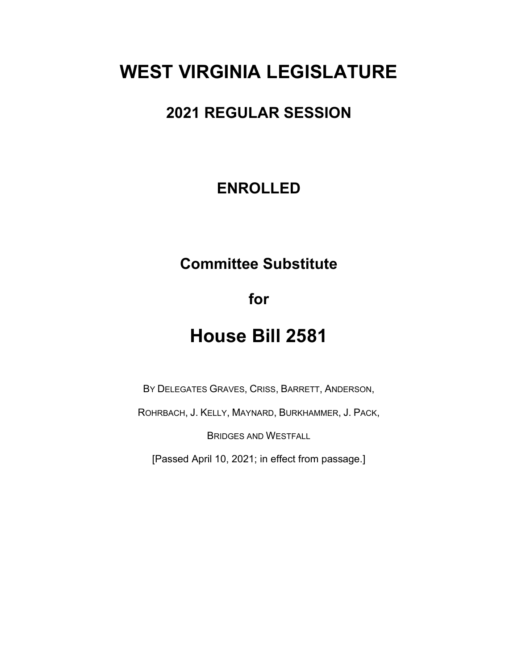# **WEST VIRGINIA LEGISLATURE**

# **2021 REGULAR SESSION**

## **ENROLLED**

# **Committee Substitute**

**for**

# **House Bill 2581**

BY DELEGATES GRAVES, CRISS, BARRETT, ANDERSON,

ROHRBACH, J. KELLY, MAYNARD, BURKHAMMER, J. PACK,

BRIDGES AND WESTFALL

[Passed April 10, 2021; in effect from passage.]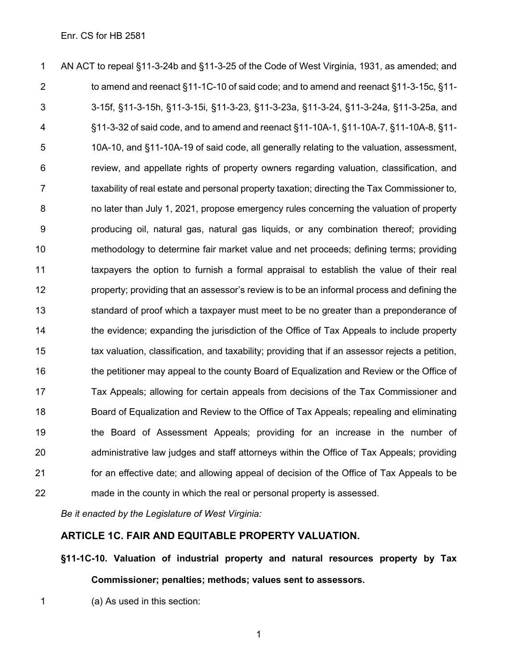AN ACT to repeal §11-3-24b and §11-3-25 of the Code of West Virginia, 1931, as amended; and to amend and reenact §11-1C-10 of said code; and to amend and reenact §11-3-15c, §11- 3-15f, §11-3-15h, §11-3-15i, §11-3-23, §11-3-23a, §11-3-24, §11-3-24a, §11-3-25a, and §11-3-32 of said code, and to amend and reenact §11-10A-1, §11-10A-7, §11-10A-8, §11- 10A-10, and §11-10A-19 of said code, all generally relating to the valuation, assessment, review, and appellate rights of property owners regarding valuation, classification, and 7 taxability of real estate and personal property taxation; directing the Tax Commissioner to, no later than July 1, 2021, propose emergency rules concerning the valuation of property producing oil, natural gas, natural gas liquids, or any combination thereof; providing methodology to determine fair market value and net proceeds; defining terms; providing taxpayers the option to furnish a formal appraisal to establish the value of their real property; providing that an assessor's review is to be an informal process and defining the standard of proof which a taxpayer must meet to be no greater than a preponderance of 14 the evidence; expanding the jurisdiction of the Office of Tax Appeals to include property tax valuation, classification, and taxability; providing that if an assessor rejects a petition, the petitioner may appeal to the county Board of Equalization and Review or the Office of Tax Appeals; allowing for certain appeals from decisions of the Tax Commissioner and Board of Equalization and Review to the Office of Tax Appeals; repealing and eliminating the Board of Assessment Appeals; providing for an increase in the number of administrative law judges and staff attorneys within the Office of Tax Appeals; providing for an effective date; and allowing appeal of decision of the Office of Tax Appeals to be made in the county in which the real or personal property is assessed.

*Be it enacted by the Legislature of West Virginia:*

## **ARTICLE 1C. FAIR AND EQUITABLE PROPERTY VALUATION.**

**§11-1C-10. Valuation of industrial property and natural resources property by Tax Commissioner; penalties; methods; values sent to assessors.**

(a) As used in this section: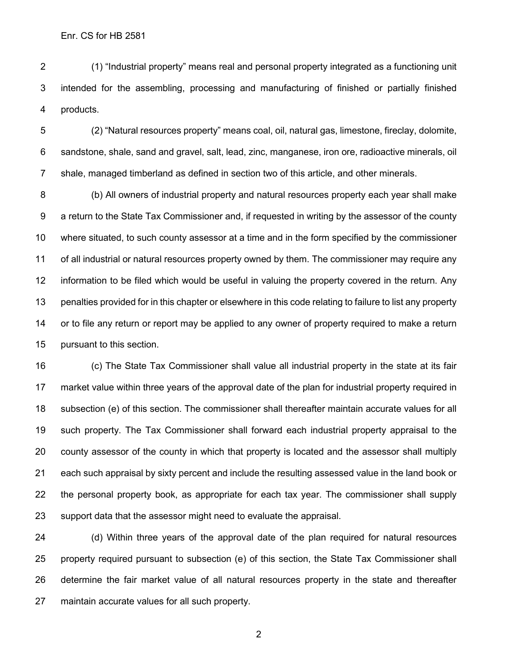(1) "Industrial property" means real and personal property integrated as a functioning unit intended for the assembling, processing and manufacturing of finished or partially finished products.

 (2) "Natural resources property" means coal, oil, natural gas, limestone, fireclay, dolomite, sandstone, shale, sand and gravel, salt, lead, zinc, manganese, iron ore, radioactive minerals, oil shale, managed timberland as defined in section two of this article, and other minerals.

 (b) All owners of industrial property and natural resources property each year shall make a return to the State Tax Commissioner and, if requested in writing by the assessor of the county where situated, to such county assessor at a time and in the form specified by the commissioner of all industrial or natural resources property owned by them. The commissioner may require any information to be filed which would be useful in valuing the property covered in the return. Any penalties provided for in this chapter or elsewhere in this code relating to failure to list any property or to file any return or report may be applied to any owner of property required to make a return pursuant to this section.

 (c) The State Tax Commissioner shall value all industrial property in the state at its fair market value within three years of the approval date of the plan for industrial property required in subsection (e) of this section. The commissioner shall thereafter maintain accurate values for all such property. The Tax Commissioner shall forward each industrial property appraisal to the county assessor of the county in which that property is located and the assessor shall multiply each such appraisal by sixty percent and include the resulting assessed value in the land book or the personal property book, as appropriate for each tax year. The commissioner shall supply support data that the assessor might need to evaluate the appraisal.

 (d) Within three years of the approval date of the plan required for natural resources property required pursuant to subsection (e) of this section, the State Tax Commissioner shall determine the fair market value of all natural resources property in the state and thereafter maintain accurate values for all such property.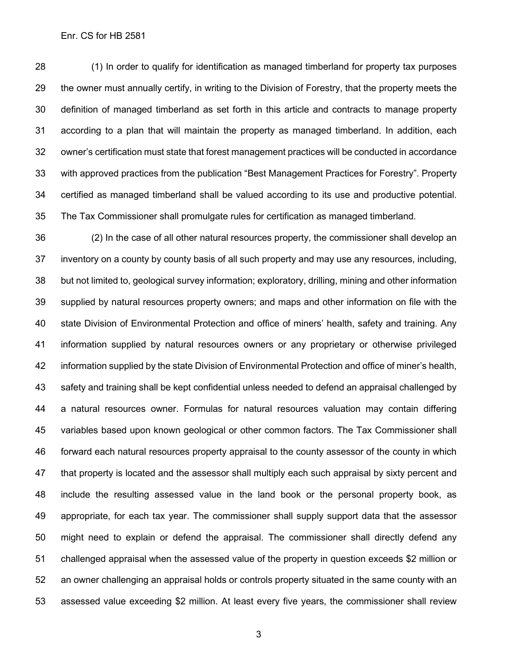(1) In order to qualify for identification as managed timberland for property tax purposes the owner must annually certify, in writing to the Division of Forestry, that the property meets the definition of managed timberland as set forth in this article and contracts to manage property according to a plan that will maintain the property as managed timberland. In addition, each owner's certification must state that forest management practices will be conducted in accordance with approved practices from the publication "Best Management Practices for Forestry". Property certified as managed timberland shall be valued according to its use and productive potential. The Tax Commissioner shall promulgate rules for certification as managed timberland.

 (2) In the case of all other natural resources property, the commissioner shall develop an inventory on a county by county basis of all such property and may use any resources, including, but not limited to, geological survey information; exploratory, drilling, mining and other information supplied by natural resources property owners; and maps and other information on file with the state Division of Environmental Protection and office of miners' health, safety and training. Any information supplied by natural resources owners or any proprietary or otherwise privileged information supplied by the state Division of Environmental Protection and office of miner's health, safety and training shall be kept confidential unless needed to defend an appraisal challenged by a natural resources owner. Formulas for natural resources valuation may contain differing variables based upon known geological or other common factors. The Tax Commissioner shall forward each natural resources property appraisal to the county assessor of the county in which that property is located and the assessor shall multiply each such appraisal by sixty percent and include the resulting assessed value in the land book or the personal property book, as appropriate, for each tax year. The commissioner shall supply support data that the assessor might need to explain or defend the appraisal. The commissioner shall directly defend any challenged appraisal when the assessed value of the property in question exceeds \$2 million or an owner challenging an appraisal holds or controls property situated in the same county with an assessed value exceeding \$2 million. At least every five years, the commissioner shall review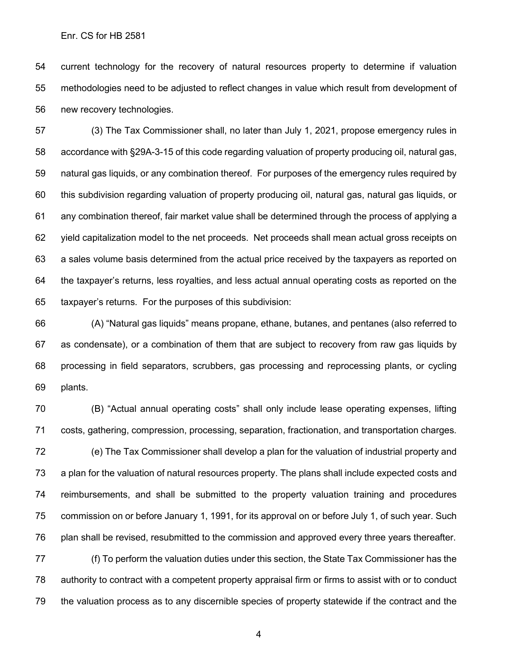current technology for the recovery of natural resources property to determine if valuation methodologies need to be adjusted to reflect changes in value which result from development of new recovery technologies.

 (3) The Tax Commissioner shall, no later than July 1, 2021, propose emergency rules in accordance with §29A-3-15 of this code regarding valuation of property producing oil, natural gas, natural gas liquids, or any combination thereof. For purposes of the emergency rules required by this subdivision regarding valuation of property producing oil, natural gas, natural gas liquids, or any combination thereof, fair market value shall be determined through the process of applying a yield capitalization model to the net proceeds. Net proceeds shall mean actual gross receipts on a sales volume basis determined from the actual price received by the taxpayers as reported on the taxpayer's returns, less royalties, and less actual annual operating costs as reported on the taxpayer's returns. For the purposes of this subdivision:

 (A) "Natural gas liquids" means propane, ethane, butanes, and pentanes (also referred to as condensate), or a combination of them that are subject to recovery from raw gas liquids by processing in field separators, scrubbers, gas processing and reprocessing plants, or cycling plants.

 (B) "Actual annual operating costs" shall only include lease operating expenses, lifting costs, gathering, compression, processing, separation, fractionation, and transportation charges. (e) The Tax Commissioner shall develop a plan for the valuation of industrial property and a plan for the valuation of natural resources property. The plans shall include expected costs and reimbursements, and shall be submitted to the property valuation training and procedures commission on or before January 1, 1991, for its approval on or before July 1, of such year. Such plan shall be revised, resubmitted to the commission and approved every three years thereafter.

 (f) To perform the valuation duties under this section, the State Tax Commissioner has the authority to contract with a competent property appraisal firm or firms to assist with or to conduct the valuation process as to any discernible species of property statewide if the contract and the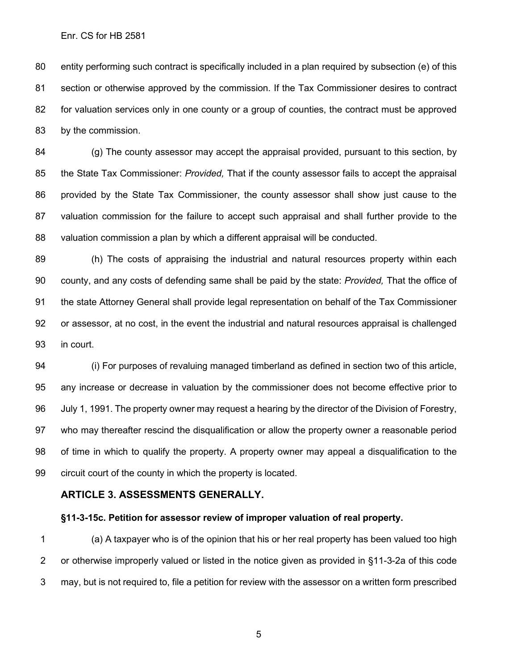entity performing such contract is specifically included in a plan required by subsection (e) of this section or otherwise approved by the commission. If the Tax Commissioner desires to contract for valuation services only in one county or a group of counties, the contract must be approved by the commission.

 (g) The county assessor may accept the appraisal provided, pursuant to this section, by the State Tax Commissioner: *Provided,* That if the county assessor fails to accept the appraisal provided by the State Tax Commissioner, the county assessor shall show just cause to the valuation commission for the failure to accept such appraisal and shall further provide to the valuation commission a plan by which a different appraisal will be conducted.

 (h) The costs of appraising the industrial and natural resources property within each county, and any costs of defending same shall be paid by the state: *Provided,* That the office of the state Attorney General shall provide legal representation on behalf of the Tax Commissioner or assessor, at no cost, in the event the industrial and natural resources appraisal is challenged in court.

 (i) For purposes of revaluing managed timberland as defined in section two of this article, any increase or decrease in valuation by the commissioner does not become effective prior to July 1, 1991. The property owner may request a hearing by the director of the Division of Forestry, who may thereafter rescind the disqualification or allow the property owner a reasonable period of time in which to qualify the property. A property owner may appeal a disqualification to the circuit court of the county in which the property is located.

#### **ARTICLE 3. ASSESSMENTS GENERALLY.**

#### **§11-3-15c. Petition for assessor review of improper valuation of real property.**

 (a) A taxpayer who is of the opinion that his or her real property has been valued too high or otherwise improperly valued or listed in the notice given as provided in §11-3-2a of this code may, but is not required to, file a petition for review with the assessor on a written form prescribed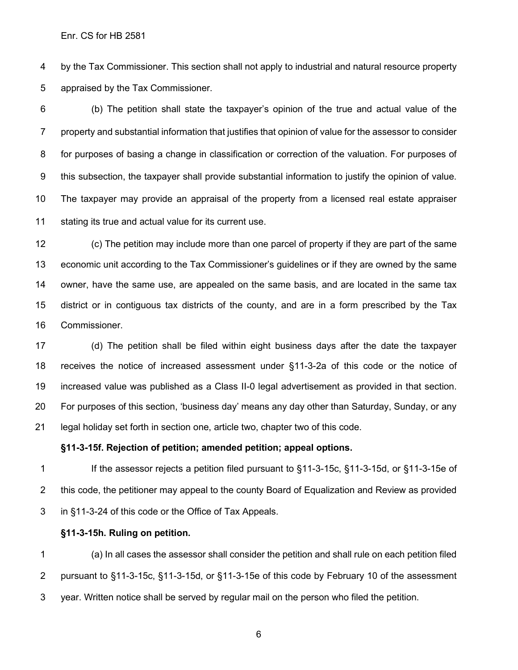by the Tax Commissioner. This section shall not apply to industrial and natural resource property appraised by the Tax Commissioner.

 (b) The petition shall state the taxpayer's opinion of the true and actual value of the property and substantial information that justifies that opinion of value for the assessor to consider for purposes of basing a change in classification or correction of the valuation. For purposes of this subsection, the taxpayer shall provide substantial information to justify the opinion of value. The taxpayer may provide an appraisal of the property from a licensed real estate appraiser stating its true and actual value for its current use.

 (c) The petition may include more than one parcel of property if they are part of the same economic unit according to the Tax Commissioner's guidelines or if they are owned by the same owner, have the same use, are appealed on the same basis, and are located in the same tax district or in contiguous tax districts of the county, and are in a form prescribed by the Tax Commissioner.

 (d) The petition shall be filed within eight business days after the date the taxpayer receives the notice of increased assessment under §11-3-2a of this code or the notice of increased value was published as a Class II-0 legal advertisement as provided in that section. For purposes of this section, 'business day' means any day other than Saturday, Sunday, or any legal holiday set forth in section one, article two, chapter two of this code.

#### **§11-3-15f. Rejection of petition; amended petition; appeal options.**

 If the assessor rejects a petition filed pursuant to §11-3-15c, §11-3-15d, or §11-3-15e of this code, the petitioner may appeal to the county Board of Equalization and Review as provided in §11-3-24 of this code or the Office of Tax Appeals.

#### **§11-3-15h. Ruling on petition.**

 (a) In all cases the assessor shall consider the petition and shall rule on each petition filed pursuant to §11-3-15c, §11-3-15d, or §11-3-15e of this code by February 10 of the assessment year. Written notice shall be served by regular mail on the person who filed the petition.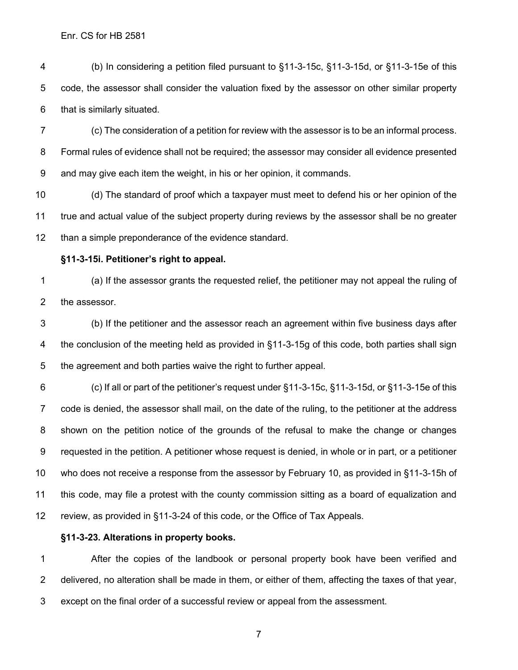(b) In considering a petition filed pursuant to §11-3-15c, §11-3-15d, or §11-3-15e of this code, the assessor shall consider the valuation fixed by the assessor on other similar property that is similarly situated.

 (c) The consideration of a petition for review with the assessor is to be an informal process. Formal rules of evidence shall not be required; the assessor may consider all evidence presented and may give each item the weight, in his or her opinion, it commands.

 (d) The standard of proof which a taxpayer must meet to defend his or her opinion of the true and actual value of the subject property during reviews by the assessor shall be no greater than a simple preponderance of the evidence standard.

#### **§11-3-15i. Petitioner's right to appeal.**

 (a) If the assessor grants the requested relief, the petitioner may not appeal the ruling of the assessor.

 (b) If the petitioner and the assessor reach an agreement within five business days after 4 the conclusion of the meeting held as provided in §11-3-15g of this code, both parties shall sign the agreement and both parties waive the right to further appeal.

 (c) If all or part of the petitioner's request under §11-3-15c, §11-3-15d, or §11-3-15e of this code is denied, the assessor shall mail, on the date of the ruling, to the petitioner at the address shown on the petition notice of the grounds of the refusal to make the change or changes requested in the petition. A petitioner whose request is denied, in whole or in part, or a petitioner who does not receive a response from the assessor by February 10, as provided in §11-3-15h of this code, may file a protest with the county commission sitting as a board of equalization and review, as provided in §11-3-24 of this code, or the Office of Tax Appeals.

#### **§11-3-23. Alterations in property books.**

 After the copies of the landbook or personal property book have been verified and delivered, no alteration shall be made in them, or either of them, affecting the taxes of that year, except on the final order of a successful review or appeal from the assessment.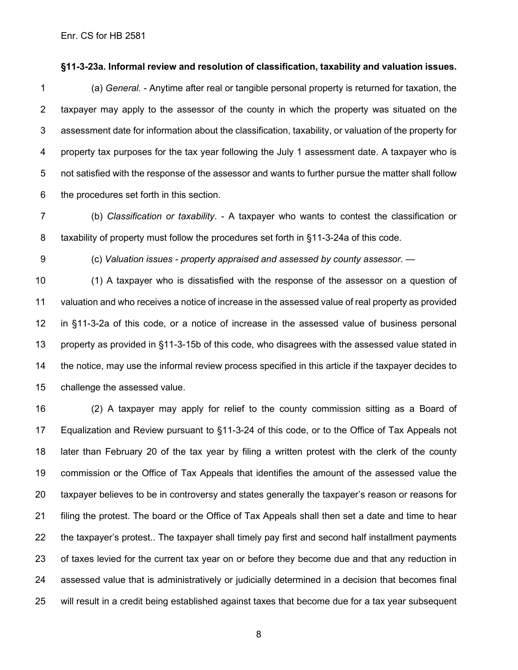#### **§11-3-23a. Informal review and resolution of classification, taxability and valuation issues.**

 (a) *General*. - Anytime after real or tangible personal property is returned for taxation, the taxpayer may apply to the assessor of the county in which the property was situated on the assessment date for information about the classification, taxability, or valuation of the property for property tax purposes for the tax year following the July 1 assessment date. A taxpayer who is not satisfied with the response of the assessor and wants to further pursue the matter shall follow the procedures set forth in this section.

 (b) *Classification or taxability*. - A taxpayer who wants to contest the classification or taxability of property must follow the procedures set forth in §11-3-24a of this code.

(c) *Valuation issues - property appraised and assessed by county assessor*. —

 (1) A taxpayer who is dissatisfied with the response of the assessor on a question of valuation and who receives a notice of increase in the assessed value of real property as provided in §11-3-2a of this code, or a notice of increase in the assessed value of business personal property as provided in §11-3-15b of this code, who disagrees with the assessed value stated in the notice, may use the informal review process specified in this article if the taxpayer decides to challenge the assessed value.

 (2) A taxpayer may apply for relief to the county commission sitting as a Board of Equalization and Review pursuant to §11-3-24 of this code, or to the Office of Tax Appeals not later than February 20 of the tax year by filing a written protest with the clerk of the county commission or the Office of Tax Appeals that identifies the amount of the assessed value the taxpayer believes to be in controversy and states generally the taxpayer's reason or reasons for filing the protest. The board or the Office of Tax Appeals shall then set a date and time to hear the taxpayer's protest.. The taxpayer shall timely pay first and second half installment payments of taxes levied for the current tax year on or before they become due and that any reduction in assessed value that is administratively or judicially determined in a decision that becomes final will result in a credit being established against taxes that become due for a tax year subsequent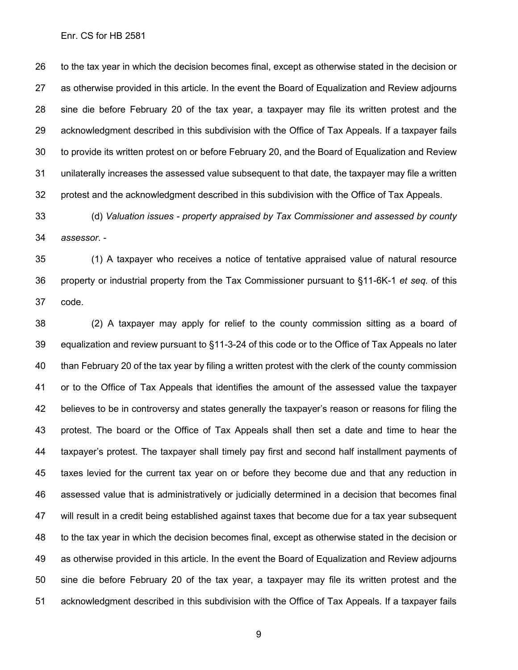to the tax year in which the decision becomes final, except as otherwise stated in the decision or as otherwise provided in this article. In the event the Board of Equalization and Review adjourns sine die before February 20 of the tax year, a taxpayer may file its written protest and the acknowledgment described in this subdivision with the Office of Tax Appeals. If a taxpayer fails to provide its written protest on or before February 20, and the Board of Equalization and Review unilaterally increases the assessed value subsequent to that date, the taxpayer may file a written protest and the acknowledgment described in this subdivision with the Office of Tax Appeals.

 (d) *Valuation issues - property appraised by Tax Commissioner and assessed by county assessor*. -

 (1) A taxpayer who receives a notice of tentative appraised value of natural resource property or industrial property from the Tax Commissioner pursuant to §11-6K-1 *et seq.* of this code.

 (2) A taxpayer may apply for relief to the county commission sitting as a board of equalization and review pursuant to §11-3-24 of this code or to the Office of Tax Appeals no later than February 20 of the tax year by filing a written protest with the clerk of the county commission or to the Office of Tax Appeals that identifies the amount of the assessed value the taxpayer believes to be in controversy and states generally the taxpayer's reason or reasons for filing the protest. The board or the Office of Tax Appeals shall then set a date and time to hear the taxpayer's protest. The taxpayer shall timely pay first and second half installment payments of taxes levied for the current tax year on or before they become due and that any reduction in assessed value that is administratively or judicially determined in a decision that becomes final will result in a credit being established against taxes that become due for a tax year subsequent to the tax year in which the decision becomes final, except as otherwise stated in the decision or as otherwise provided in this article. In the event the Board of Equalization and Review adjourns sine die before February 20 of the tax year, a taxpayer may file its written protest and the acknowledgment described in this subdivision with the Office of Tax Appeals. If a taxpayer fails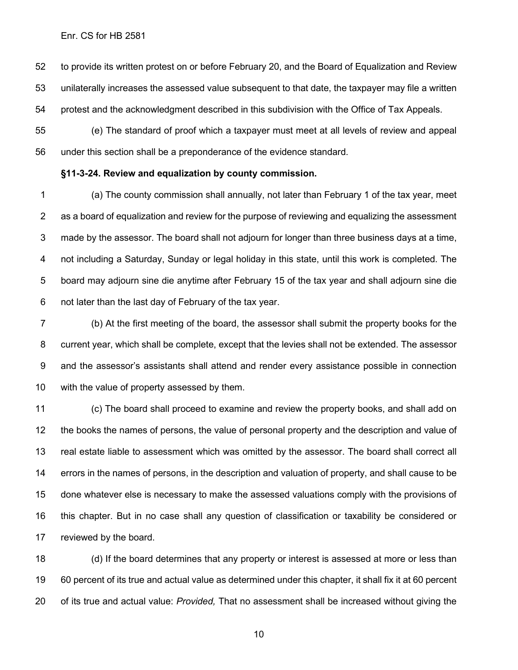to provide its written protest on or before February 20, and the Board of Equalization and Review unilaterally increases the assessed value subsequent to that date, the taxpayer may file a written protest and the acknowledgment described in this subdivision with the Office of Tax Appeals.

 (e) The standard of proof which a taxpayer must meet at all levels of review and appeal under this section shall be a preponderance of the evidence standard.

#### **§11-3-24. Review and equalization by county commission.**

 (a) The county commission shall annually, not later than February 1 of the tax year, meet as a board of equalization and review for the purpose of reviewing and equalizing the assessment made by the assessor. The board shall not adjourn for longer than three business days at a time, not including a Saturday, Sunday or legal holiday in this state, until this work is completed. The board may adjourn sine die anytime after February 15 of the tax year and shall adjourn sine die not later than the last day of February of the tax year.

 (b) At the first meeting of the board, the assessor shall submit the property books for the current year, which shall be complete, except that the levies shall not be extended. The assessor and the assessor's assistants shall attend and render every assistance possible in connection with the value of property assessed by them.

 (c) The board shall proceed to examine and review the property books, and shall add on the books the names of persons, the value of personal property and the description and value of real estate liable to assessment which was omitted by the assessor. The board shall correct all errors in the names of persons, in the description and valuation of property, and shall cause to be done whatever else is necessary to make the assessed valuations comply with the provisions of this chapter. But in no case shall any question of classification or taxability be considered or reviewed by the board.

 (d) If the board determines that any property or interest is assessed at more or less than 60 percent of its true and actual value as determined under this chapter, it shall fix it at 60 percent of its true and actual value: *Provided,* That no assessment shall be increased without giving the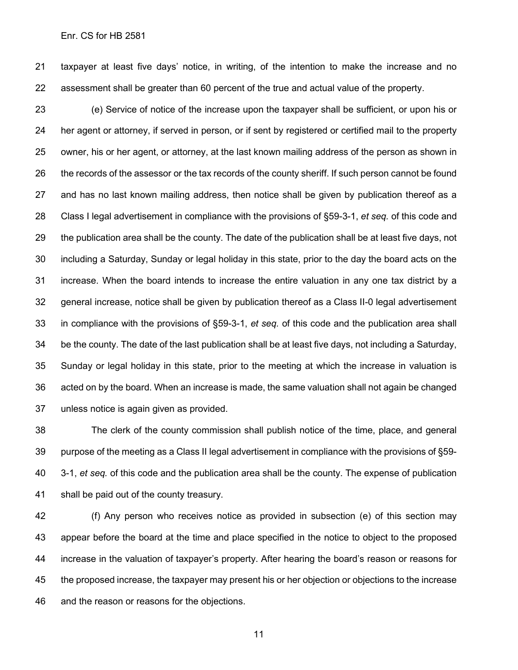taxpayer at least five days' notice, in writing, of the intention to make the increase and no assessment shall be greater than 60 percent of the true and actual value of the property.

 (e) Service of notice of the increase upon the taxpayer shall be sufficient, or upon his or her agent or attorney, if served in person, or if sent by registered or certified mail to the property owner, his or her agent, or attorney, at the last known mailing address of the person as shown in the records of the assessor or the tax records of the county sheriff. If such person cannot be found and has no last known mailing address, then notice shall be given by publication thereof as a Class I legal advertisement in compliance with the provisions of §59-3-1, *et seq.* of this code and the publication area shall be the county. The date of the publication shall be at least five days, not including a Saturday, Sunday or legal holiday in this state, prior to the day the board acts on the increase. When the board intends to increase the entire valuation in any one tax district by a general increase, notice shall be given by publication thereof as a Class II-0 legal advertisement in compliance with the provisions of §59-3-1, *et seq.* of this code and the publication area shall be the county. The date of the last publication shall be at least five days, not including a Saturday, Sunday or legal holiday in this state, prior to the meeting at which the increase in valuation is acted on by the board. When an increase is made, the same valuation shall not again be changed unless notice is again given as provided.

 The clerk of the county commission shall publish notice of the time, place, and general purpose of the meeting as a Class II legal advertisement in compliance with the provisions of §59- 3-1, *et seq.* of this code and the publication area shall be the county. The expense of publication shall be paid out of the county treasury.

 (f) Any person who receives notice as provided in subsection (e) of this section may appear before the board at the time and place specified in the notice to object to the proposed increase in the valuation of taxpayer's property. After hearing the board's reason or reasons for the proposed increase, the taxpayer may present his or her objection or objections to the increase and the reason or reasons for the objections.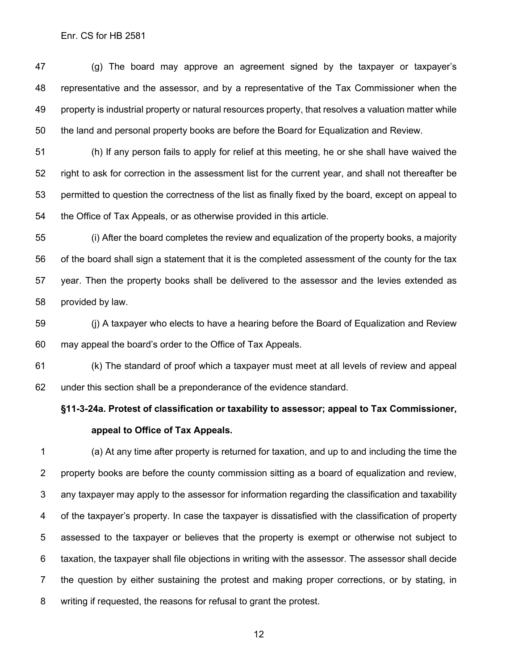(g) The board may approve an agreement signed by the taxpayer or taxpayer's representative and the assessor, and by a representative of the Tax Commissioner when the property is industrial property or natural resources property, that resolves a valuation matter while the land and personal property books are before the Board for Equalization and Review.

 (h) If any person fails to apply for relief at this meeting, he or she shall have waived the right to ask for correction in the assessment list for the current year, and shall not thereafter be permitted to question the correctness of the list as finally fixed by the board, except on appeal to the Office of Tax Appeals, or as otherwise provided in this article.

 (i) After the board completes the review and equalization of the property books, a majority of the board shall sign a statement that it is the completed assessment of the county for the tax year. Then the property books shall be delivered to the assessor and the levies extended as provided by law.

 (j) A taxpayer who elects to have a hearing before the Board of Equalization and Review may appeal the board's order to the Office of Tax Appeals.

 (k) The standard of proof which a taxpayer must meet at all levels of review and appeal under this section shall be a preponderance of the evidence standard.

## **§11-3-24a. Protest of classification or taxability to assessor; appeal to Tax Commissioner, appeal to Office of Tax Appeals.**

 (a) At any time after property is returned for taxation, and up to and including the time the property books are before the county commission sitting as a board of equalization and review, any taxpayer may apply to the assessor for information regarding the classification and taxability of the taxpayer's property. In case the taxpayer is dissatisfied with the classification of property assessed to the taxpayer or believes that the property is exempt or otherwise not subject to taxation, the taxpayer shall file objections in writing with the assessor. The assessor shall decide the question by either sustaining the protest and making proper corrections, or by stating, in writing if requested, the reasons for refusal to grant the protest.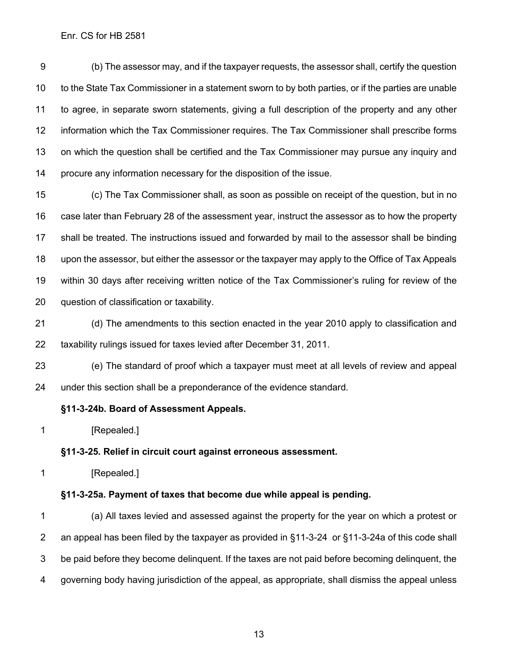(b) The assessor may, and if the taxpayer requests, the assessor shall, certify the question to the State Tax Commissioner in a statement sworn to by both parties, or if the parties are unable to agree, in separate sworn statements, giving a full description of the property and any other information which the Tax Commissioner requires. The Tax Commissioner shall prescribe forms on which the question shall be certified and the Tax Commissioner may pursue any inquiry and procure any information necessary for the disposition of the issue.

 (c) The Tax Commissioner shall, as soon as possible on receipt of the question, but in no case later than February 28 of the assessment year, instruct the assessor as to how the property shall be treated. The instructions issued and forwarded by mail to the assessor shall be binding upon the assessor, but either the assessor or the taxpayer may apply to the Office of Tax Appeals within 30 days after receiving written notice of the Tax Commissioner's ruling for review of the question of classification or taxability.

 (d) The amendments to this section enacted in the year 2010 apply to classification and taxability rulings issued for taxes levied after December 31, 2011.

 (e) The standard of proof which a taxpayer must meet at all levels of review and appeal under this section shall be a preponderance of the evidence standard.

#### **§11-3-24b. Board of Assessment Appeals.**

**[Repealed.]** 

#### **§11-3-25. Relief in circuit court against erroneous assessment.**

**[Repealed.]** 

#### **§11-3-25a. Payment of taxes that become due while appeal is pending.**

 (a) All taxes levied and assessed against the property for the year on which a protest or an appeal has been filed by the taxpayer as provided in §11-3-24 or §11-3-24a of this code shall be paid before they become delinquent. If the taxes are not paid before becoming delinquent, the governing body having jurisdiction of the appeal, as appropriate, shall dismiss the appeal unless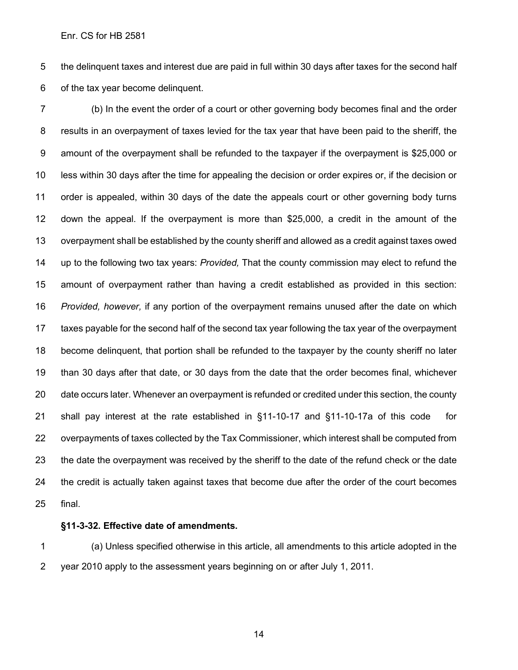the delinquent taxes and interest due are paid in full within 30 days after taxes for the second half of the tax year become delinquent.

 (b) In the event the order of a court or other governing body becomes final and the order results in an overpayment of taxes levied for the tax year that have been paid to the sheriff, the amount of the overpayment shall be refunded to the taxpayer if the overpayment is \$25,000 or less within 30 days after the time for appealing the decision or order expires or, if the decision or order is appealed, within 30 days of the date the appeals court or other governing body turns down the appeal. If the overpayment is more than \$25,000, a credit in the amount of the overpayment shall be established by the county sheriff and allowed as a credit against taxes owed up to the following two tax years: *Provided,* That the county commission may elect to refund the amount of overpayment rather than having a credit established as provided in this section: *Provided, however,* if any portion of the overpayment remains unused after the date on which taxes payable for the second half of the second tax year following the tax year of the overpayment become delinquent, that portion shall be refunded to the taxpayer by the county sheriff no later than 30 days after that date, or 30 days from the date that the order becomes final, whichever date occurs later. Whenever an overpayment is refunded or credited under this section, the county shall pay interest at the rate established in §11-10-17 and §11-10-17a of this code for overpayments of taxes collected by the Tax Commissioner, which interest shall be computed from the date the overpayment was received by the sheriff to the date of the refund check or the date the credit is actually taken against taxes that become due after the order of the court becomes final.

### **§11-3-32. Effective date of amendments.**

 (a) Unless specified otherwise in this article, all amendments to this article adopted in the year 2010 apply to the assessment years beginning on or after July 1, 2011.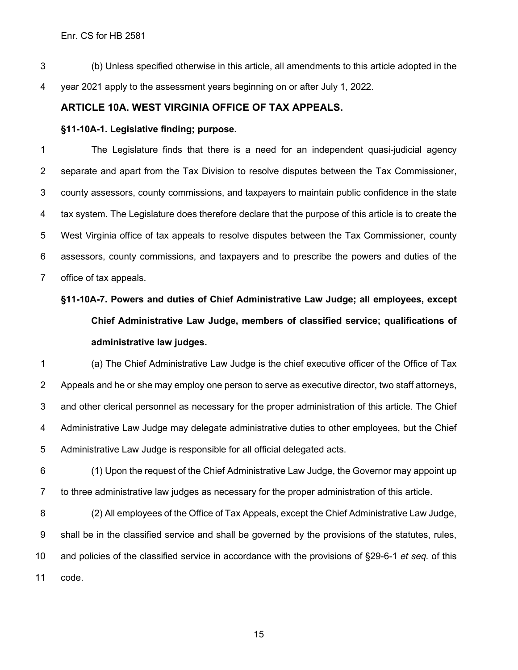(b) Unless specified otherwise in this article, all amendments to this article adopted in the year 2021 apply to the assessment years beginning on or after July 1, 2022.

## **ARTICLE 10A. WEST VIRGINIA OFFICE OF TAX APPEALS.**

### **§11-10A-1. Legislative finding; purpose.**

 The Legislature finds that there is a need for an independent quasi-judicial agency separate and apart from the Tax Division to resolve disputes between the Tax Commissioner, county assessors, county commissions, and taxpayers to maintain public confidence in the state tax system. The Legislature does therefore declare that the purpose of this article is to create the West Virginia office of tax appeals to resolve disputes between the Tax Commissioner, county assessors, county commissions, and taxpayers and to prescribe the powers and duties of the office of tax appeals.

# **§11-10A-7. Powers and duties of Chief Administrative Law Judge; all employees, except Chief Administrative Law Judge, members of classified service; qualifications of administrative law judges.**

 (a) The Chief Administrative Law Judge is the chief executive officer of the Office of Tax Appeals and he or she may employ one person to serve as executive director, two staff attorneys, and other clerical personnel as necessary for the proper administration of this article. The Chief Administrative Law Judge may delegate administrative duties to other employees, but the Chief Administrative Law Judge is responsible for all official delegated acts.

 (1) Upon the request of the Chief Administrative Law Judge, the Governor may appoint up to three administrative law judges as necessary for the proper administration of this article.

 (2) All employees of the Office of Tax Appeals, except the Chief Administrative Law Judge, shall be in the classified service and shall be governed by the provisions of the statutes, rules, and policies of the classified service in accordance with the provisions of §29-6-1 *et seq.* of this code.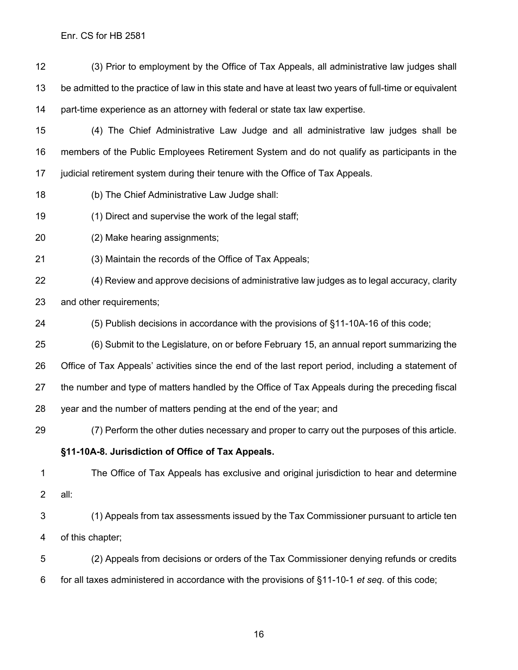(3) Prior to employment by the Office of Tax Appeals, all administrative law judges shall be admitted to the practice of law in this state and have at least two years of full-time or equivalent part-time experience as an attorney with federal or state tax law expertise.

 (4) The Chief Administrative Law Judge and all administrative law judges shall be members of the Public Employees Retirement System and do not qualify as participants in the judicial retirement system during their tenure with the Office of Tax Appeals.

(b) The Chief Administrative Law Judge shall:

(1) Direct and supervise the work of the legal staff;

(2) Make hearing assignments;

(3) Maintain the records of the Office of Tax Appeals;

 (4) Review and approve decisions of administrative law judges as to legal accuracy, clarity and other requirements;

(5) Publish decisions in accordance with the provisions of §11-10A-16 of this code;

 (6) Submit to the Legislature, on or before February 15, an annual report summarizing the Office of Tax Appeals' activities since the end of the last report period, including a statement of the number and type of matters handled by the Office of Tax Appeals during the preceding fiscal year and the number of matters pending at the end of the year; and

(7) Perform the other duties necessary and proper to carry out the purposes of this article.

#### **§11-10A-8. Jurisdiction of Office of Tax Appeals.**

 The Office of Tax Appeals has exclusive and original jurisdiction to hear and determine all:

 (1) Appeals from tax assessments issued by the Tax Commissioner pursuant to article ten of this chapter;

 (2) Appeals from decisions or orders of the Tax Commissioner denying refunds or credits for all taxes administered in accordance with the provisions of §11-10-1 *et seq.* of this code;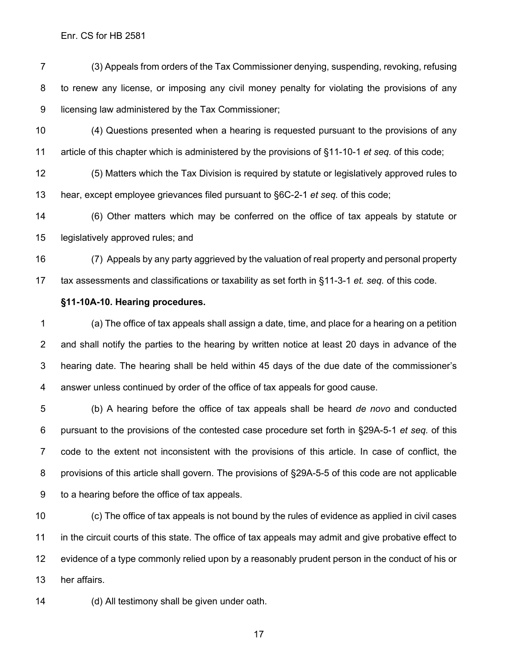(3) Appeals from orders of the Tax Commissioner denying, suspending, revoking, refusing to renew any license, or imposing any civil money penalty for violating the provisions of any licensing law administered by the Tax Commissioner;

 (4) Questions presented when a hearing is requested pursuant to the provisions of any article of this chapter which is administered by the provisions of §11-10-1 *et seq.* of this code;

 (5) Matters which the Tax Division is required by statute or legislatively approved rules to hear, except employee grievances filed pursuant to §6C-2-1 *et seq.* of this code;

 (6) Other matters which may be conferred on the office of tax appeals by statute or legislatively approved rules; and

 (7) Appeals by any party aggrieved by the valuation of real property and personal property tax assessments and classifications or taxability as set forth in §11-3-1 *et. seq.* of this code.

#### **§11-10A-10. Hearing procedures.**

 (a) The office of tax appeals shall assign a date, time, and place for a hearing on a petition and shall notify the parties to the hearing by written notice at least 20 days in advance of the hearing date. The hearing shall be held within 45 days of the due date of the commissioner's answer unless continued by order of the office of tax appeals for good cause.

 (b) A hearing before the office of tax appeals shall be heard *de novo* and conducted pursuant to the provisions of the contested case procedure set forth in §29A-5-1 *et seq.* of this code to the extent not inconsistent with the provisions of this article. In case of conflict, the provisions of this article shall govern. The provisions of §29A-5-5 of this code are not applicable to a hearing before the office of tax appeals.

 (c) The office of tax appeals is not bound by the rules of evidence as applied in civil cases in the circuit courts of this state. The office of tax appeals may admit and give probative effect to evidence of a type commonly relied upon by a reasonably prudent person in the conduct of his or her affairs.

(d) All testimony shall be given under oath.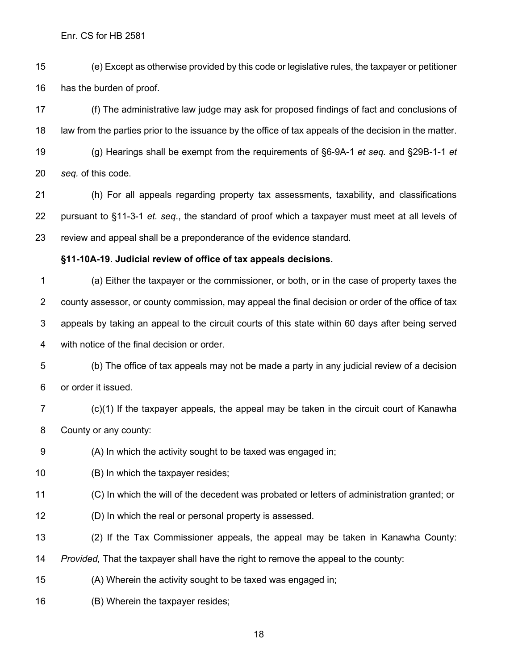(e) Except as otherwise provided by this code or legislative rules, the taxpayer or petitioner has the burden of proof.

 (f) The administrative law judge may ask for proposed findings of fact and conclusions of law from the parties prior to the issuance by the office of tax appeals of the decision in the matter. (g) Hearings shall be exempt from the requirements of §6-9A-1 *et seq.* and §29B-1-1 *et seq.* of this code.

 (h) For all appeals regarding property tax assessments, taxability, and classifications pursuant to §11-3-1 *et. seq*., the standard of proof which a taxpayer must meet at all levels of review and appeal shall be a preponderance of the evidence standard.

#### **§11-10A-19. Judicial review of office of tax appeals decisions.**

 (a) Either the taxpayer or the commissioner, or both, or in the case of property taxes the county assessor, or county commission, may appeal the final decision or order of the office of tax appeals by taking an appeal to the circuit courts of this state within 60 days after being served with notice of the final decision or order.

 (b) The office of tax appeals may not be made a party in any judicial review of a decision or order it issued.

- (c)(1) If the taxpayer appeals, the appeal may be taken in the circuit court of Kanawha County or any county:
- (A) In which the activity sought to be taxed was engaged in;
- (B) In which the taxpayer resides;
- (C) In which the will of the decedent was probated or letters of administration granted; or
- (D) In which the real or personal property is assessed.
- (2) If the Tax Commissioner appeals, the appeal may be taken in Kanawha County:

*Provided,* That the taxpayer shall have the right to remove the appeal to the county:

(A) Wherein the activity sought to be taxed was engaged in;

(B) Wherein the taxpayer resides;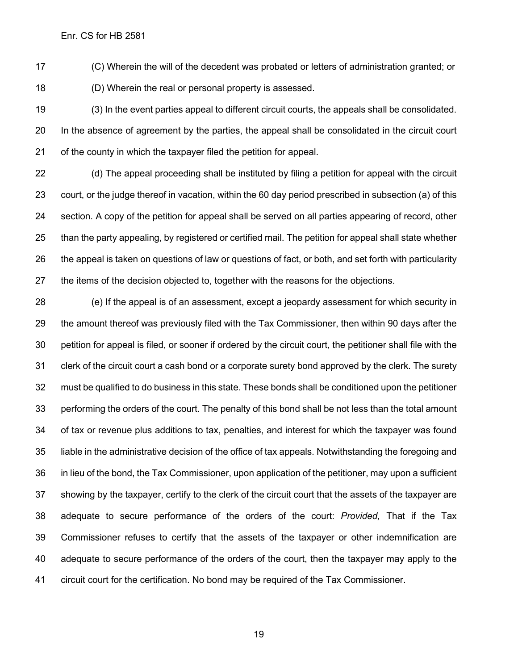(C) Wherein the will of the decedent was probated or letters of administration granted; or (D) Wherein the real or personal property is assessed.

 (3) In the event parties appeal to different circuit courts, the appeals shall be consolidated. In the absence of agreement by the parties, the appeal shall be consolidated in the circuit court of the county in which the taxpayer filed the petition for appeal.

 (d) The appeal proceeding shall be instituted by filing a petition for appeal with the circuit court, or the judge thereof in vacation, within the 60 day period prescribed in subsection (a) of this section. A copy of the petition for appeal shall be served on all parties appearing of record, other than the party appealing, by registered or certified mail. The petition for appeal shall state whether the appeal is taken on questions of law or questions of fact, or both, and set forth with particularity the items of the decision objected to, together with the reasons for the objections.

 (e) If the appeal is of an assessment, except a jeopardy assessment for which security in the amount thereof was previously filed with the Tax Commissioner, then within 90 days after the petition for appeal is filed, or sooner if ordered by the circuit court, the petitioner shall file with the clerk of the circuit court a cash bond or a corporate surety bond approved by the clerk. The surety must be qualified to do business in this state. These bonds shall be conditioned upon the petitioner performing the orders of the court. The penalty of this bond shall be not less than the total amount of tax or revenue plus additions to tax, penalties, and interest for which the taxpayer was found liable in the administrative decision of the office of tax appeals. Notwithstanding the foregoing and in lieu of the bond, the Tax Commissioner, upon application of the petitioner, may upon a sufficient showing by the taxpayer, certify to the clerk of the circuit court that the assets of the taxpayer are adequate to secure performance of the orders of the court: *Provided,* That if the Tax Commissioner refuses to certify that the assets of the taxpayer or other indemnification are adequate to secure performance of the orders of the court, then the taxpayer may apply to the circuit court for the certification. No bond may be required of the Tax Commissioner.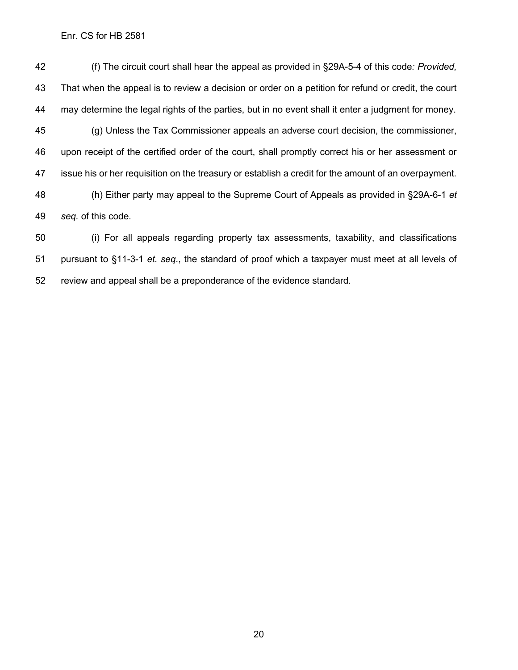(f) The circuit court shall hear the appeal as provided in §29A-5-4 of this code*: Provided,* That when the appeal is to review a decision or order on a petition for refund or credit, the court may determine the legal rights of the parties, but in no event shall it enter a judgment for money. (g) Unless the Tax Commissioner appeals an adverse court decision, the commissioner, upon receipt of the certified order of the court, shall promptly correct his or her assessment or issue his or her requisition on the treasury or establish a credit for the amount of an overpayment. (h) Either party may appeal to the Supreme Court of Appeals as provided in §29A-6-1 *et seq.* of this code.

 (i) For all appeals regarding property tax assessments, taxability, and classifications pursuant to §11-3-1 *et. seq*., the standard of proof which a taxpayer must meet at all levels of review and appeal shall be a preponderance of the evidence standard.